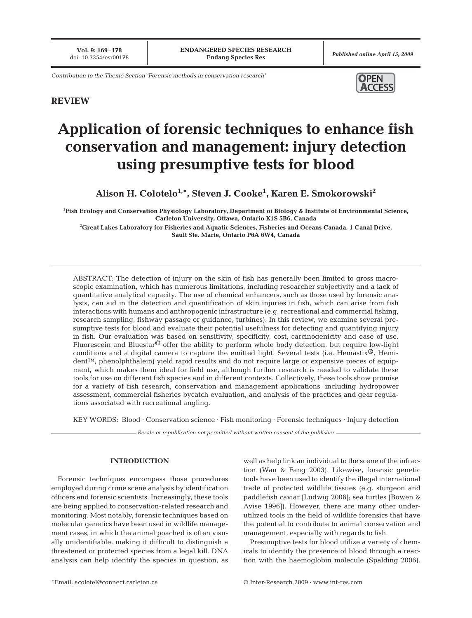*Contribution to the Theme Section 'Forensic methods in conservation research'* 



# **REVIEW**

# **Application of forensic techniques to enhance fish conservation and management: injury detection using presumptive tests for blood**

**Alison H. Colotelo1,\*, Steven J. Cooke1 , Karen E. Smokorowski2**

**1 Fish Ecology and Conservation Physiology Laboratory, Department of Biology & Institute of Environmental Science, Carleton University, Ottawa, Ontario K1S 5B6, Canada**

**2 Great Lakes Laboratory for Fisheries and Aquatic Sciences, Fisheries and Oceans Canada, 1 Canal Drive, Sault Ste. Marie, Ontario P6A 6W4, Canada**

ABSTRACT: The detection of injury on the skin of fish has generally been limited to gross macroscopic examination, which has numerous limitations, including researcher subjectivity and a lack of quantitative analytical capacity. The use of chemical enhancers, such as those used by forensic analysts, can aid in the detection and quantification of skin injuries in fish, which can arise from fish interactions with humans and anthropogenic infrastructure (e.g. recreational and commercial fishing, research sampling, fishway passage or guidance, turbines). In this review, we examine several presumptive tests for blood and evaluate their potential usefulness for detecting and quantifying injury in fish. Our evaluation was based on sensitivity, specificity, cost, carcinogenicity and ease of use. Fluorescein and Bluestar $\mathbb{O}$  offer the ability to perform whole body detection, but require low-light conditions and a digital camera to capture the emitted light. Several tests (i.e. Hemastix®, Hemident™, phenolphthalein) yield rapid results and do not require large or expensive pieces of equipment, which makes them ideal for field use, although further research is needed to validate these tools for use on different fish species and in different contexts. Collectively, these tools show promise for a variety of fish research, conservation and management applications, including hydropower assessment, commercial fisheries bycatch evaluation, and analysis of the practices and gear regulations associated with recreational angling.

KEY WORDS: Blood · Conservation science · Fish monitoring · Forensic techniques · Injury detection

*Resale or republication not permitted without written consent of the publisher*

# **INTRODUCTION**

Forensic techniques encompass those procedures employed during crime scene analysis by identification officers and forensic scientists. Increasingly, these tools are being applied to conservation-related research and monitoring. Most notably, forensic techniques based on molecular genetics have been used in wildlife management cases, in which the animal poached is often visually unidentifiable, making it difficult to distinguish a threatened or protected species from a legal kill. DNA analysis can help identify the species in question, as well as help link an individual to the scene of the infraction (Wan & Fang 2003). Likewise, forensic genetic tools have been used to identify the illegal international trade of protected wildlife tissues (e.g. sturgeon and paddlefish caviar [Ludwig 2006]; sea turtles [Bowen & Avise 1996]). However, there are many other underutilized tools in the field of wildlife forensics that have the potential to contribute to animal conservation and management, especially with regards to fish.

Presumptive tests for blood utilize a variety of chemicals to identify the presence of blood through a reaction with the haemoglobin molecule (Spalding 2006).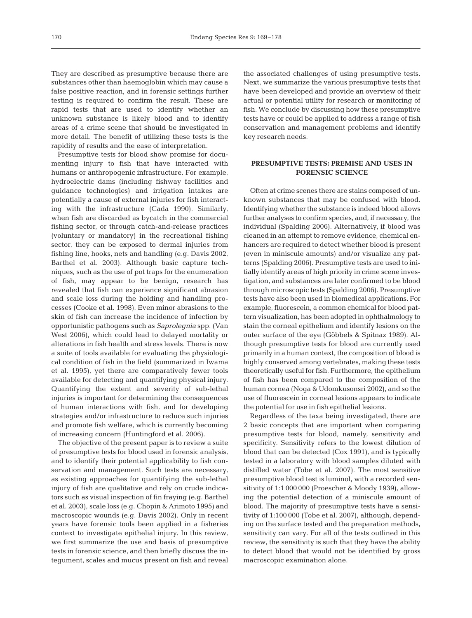They are described as presumptive because there are substances other than haemoglobin which may cause a false positive reaction, and in forensic settings further testing is required to confirm the result. These are rapid tests that are used to identify whether an unknown substance is likely blood and to identify areas of a crime scene that should be investigated in more detail. The benefit of utilizing these tests is the rapidity of results and the ease of interpretation.

Presumptive tests for blood show promise for documenting injury to fish that have interacted with humans or anthropogenic infrastructure. For example, hydroelectric dams (including fishway facilities and guidance technologies) and irrigation intakes are potentially a cause of external injuries for fish interacting with the infrastructure (Cada 1990). Similarly, when fish are discarded as bycatch in the commercial fishing sector, or through catch-and-release practices (voluntary or mandatory) in the recreational fishing sector, they can be exposed to dermal injuries from fishing line, hooks, nets and handling (e.g. Davis 2002, Barthel et al. 2003). Although basic capture techniques, such as the use of pot traps for the enumeration of fish, may appear to be benign, research has revealed that fish can experience significant abrasion and scale loss during the holding and handling processes (Cooke et al. 1998). Even minor abrasions to the skin of fish can increase the incidence of infection by opportunistic pathogens such as *Saprolegnia* spp. (Van West 2006), which could lead to delayed mortality or alterations in fish health and stress levels. There is now a suite of tools available for evaluating the physiological condition of fish in the field (summarized in Iwama et al. 1995), yet there are comparatively fewer tools available for detecting and quantifying physical injury. Quantifying the extent and severity of sub-lethal injuries is important for determining the consequences of human interactions with fish, and for developing strategies and/or infrastructure to reduce such injuries and promote fish welfare, which is currently becoming of increasing concern (Huntingford et al. 2006).

The objective of the present paper is to review a suite of presumptive tests for blood used in forensic analysis, and to identify their potential applicability to fish conservation and management. Such tests are necessary, as existing approaches for quantifying the sub-lethal injury of fish are qualitative and rely on crude indicators such as visual inspection of fin fraying (e.g. Barthel et al. 2003), scale loss (e.g. Chopin & Arimoto 1995) and macroscopic wounds (e.g. Davis 2002). Only in recent years have forensic tools been applied in a fisheries context to investigate epithelial injury. In this review, we first summarize the use and basis of presumptive tests in forensic science, and then briefly discuss the integument, scales and mucus present on fish and reveal

the associated challenges of using presumptive tests. Next, we summarize the various presumptive tests that have been developed and provide an overview of their actual or potential utility for research or monitoring of fish. We conclude by discussing how these presumptive tests have or could be applied to address a range of fish conservation and management problems and identify key research needs.

## **PRESUMPTIVE TESTS: PREMISE AND USES IN FORENSIC SCIENCE**

Often at crime scenes there are stains composed of unknown substances that may be confused with blood. Identifying whether the substance is indeed blood allows further analyses to confirm species, and, if necessary, the individual (Spalding 2006). Alternatively, if blood was cleaned in an attempt to remove evidence, chemical enhancers are required to detect whether blood is present (even in miniscule amounts) and/or visualize any patterns (Spalding 2006). Presumptive tests are used to initially identify areas of high priority in crime scene investigation, and substances are later confirmed to be blood through microscopic tests (Spalding 2006). Presumptive tests have also been used in biomedical applications. For example, fluorescein, a common chemical for blood pattern visualization, has been adopted in ophthalmology to stain the corneal epithelium and identify lesions on the outer surface of the eye (Göbbels & Spitnaz 1989). Although presumptive tests for blood are currently used primarily in a human context, the composition of blood is highly conserved among vertebrates, making these tests theoretically useful for fish. Furthermore, the epithelium of fish has been compared to the composition of the human cornea (Noga & Udomkusonsri 2002), and so the use of fluorescein in corneal lesions appears to indicate the potential for use in fish epithelial lesions.

Regardless of the taxa being investigated, there are 2 basic concepts that are important when comparing presumptive tests for blood, namely, sensitivity and specificity. Sensitivity refers to the lowest dilution of blood that can be detected (Cox 1991), and is typically tested in a laboratory with blood samples diluted with distilled water (Tobe et al. 2007). The most sensitive presumptive blood test is luminol, with a recorded sensitivity of 1:1 000 000 (Proescher & Moody 1939), allowing the potential detection of a miniscule amount of blood. The majority of presumptive tests have a sensitivity of 1:100 000 (Tobe et al. 2007), although, depending on the surface tested and the preparation methods, sensitivity can vary. For all of the tests outlined in this review, the sensitivity is such that they have the ability to detect blood that would not be identified by gross macroscopic examination alone.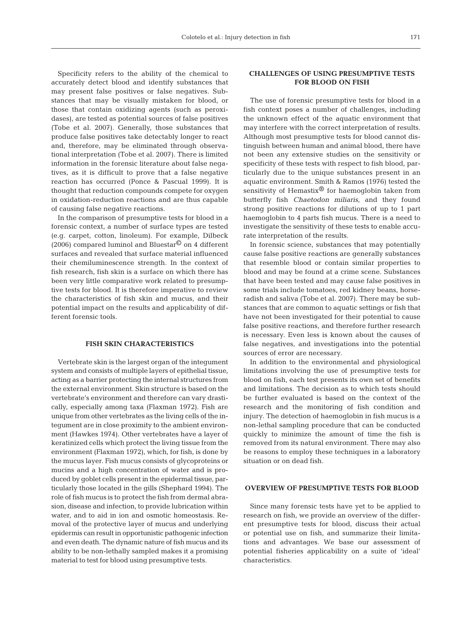Specificity refers to the ability of the chemical to accurately detect blood and identify substances that may present false positives or false negatives. Substances that may be visually mistaken for blood, or those that contain oxidizing agents (such as peroxidases), are tested as potential sources of false positives (Tobe et al. 2007). Generally, those substances that produce false positives take detectably longer to react and, therefore, may be eliminated through observational interpretation (Tobe et al. 2007). There is limited information in the forensic literature about false negatives, as it is difficult to prove that a false negative reaction has occurred (Ponce & Pascual 1999). It is thought that reduction compounds compete for oxygen in oxidation-reduction reactions and are thus capable of causing false negative reactions.

In the comparison of presumptive tests for blood in a forensic context, a number of surface types are tested (e.g. carpet, cotton, linoleum). For example, Dilbeck (2006) compared luminol and Bluestar<sup> $\odot$ </sup> on 4 different surfaces and revealed that surface material influenced their chemiluminescence strength. In the context of fish research, fish skin is a surface on which there has been very little comparative work related to presumptive tests for blood. It is therefore imperative to review the characteristics of fish skin and mucus, and their potential impact on the results and applicability of different forensic tools.

## **FISH SKIN CHARACTERISTICS**

Vertebrate skin is the largest organ of the integument system and consists of multiple layers of epithelial tissue, acting as a barrier protecting the internal structures from the external environment. Skin structure is based on the vertebrate's environment and therefore can vary drastically, especially among taxa (Flaxman 1972). Fish are unique from other vertebrates as the living cells of the integument are in close proximity to the ambient environment (Hawkes 1974). Other vertebrates have a layer of keratinized cells which protect the living tissue from the environment (Flaxman 1972), which, for fish, is done by the mucus layer. Fish mucus consists of glycoproteins or mucins and a high concentration of water and is produced by goblet cells present in the epidermal tissue, particularly those located in the gills (Shephard 1994). The role of fish mucus is to protect the fish from dermal abrasion, disease and infection, to provide lubrication within water, and to aid in ion and osmotic homeostasis. Removal of the protective layer of mucus and underlying epidermis can result in opportunistic pathogenic infection and even death. The dynamic nature of fish mucus and its ability to be non-lethally sampled makes it a promising material to test for blood using presumptive tests.

# **CHALLENGES OF USING PRESUMPTIVE TESTS FOR BLOOD ON FISH**

The use of forensic presumptive tests for blood in a fish context poses a number of challenges, including the unknown effect of the aquatic environment that may interfere with the correct interpretation of results. Although most presumptive tests for blood cannot distinguish between human and animal blood, there have not been any extensive studies on the sensitivity or specificity of these tests with respect to fish blood, particularly due to the unique substances present in an aquatic environment. Smith & Ramos (1976) tested the sensitivity of Hemastix® for haemoglobin taken from butterfly fish *Chaetodon miliaris*, and they found strong positive reactions for dilutions of up to 1 part haemoglobin to 4 parts fish mucus. There is a need to investigate the sensitivity of these tests to enable accurate interpretation of the results.

In forensic science, substances that may potentially cause false positive reactions are generally substances that resemble blood or contain similar properties to blood and may be found at a crime scene. Substances that have been tested and may cause false positives in some trials include tomatoes, red kidney beans, horseradish and saliva (Tobe et al. 2007). There may be substances that are common to aquatic settings or fish that have not been investigated for their potential to cause false positive reactions, and therefore further research is necessary. Even less is known about the causes of false negatives, and investigations into the potential sources of error are necessary.

In addition to the environmental and physiological limitations involving the use of presumptive tests for blood on fish, each test presents its own set of benefits and limitations. The decision as to which tests should be further evaluated is based on the context of the research and the monitoring of fish condition and injury. The detection of haemoglobin in fish mucus is a non-lethal sampling procedure that can be conducted quickly to minimize the amount of time the fish is removed from its natural environment. There may also be reasons to employ these techniques in a laboratory situation or on dead fish.

## **OVERVIEW OF PRESUMPTIVE TESTS FOR BLOOD**

Since many forensic tests have yet to be applied to research on fish, we provide an overview of the different presumptive tests for blood, discuss their actual or potential use on fish, and summarize their limitations and advantages. We base our assessment of potential fisheries applicability on a suite of 'ideal' characteristics.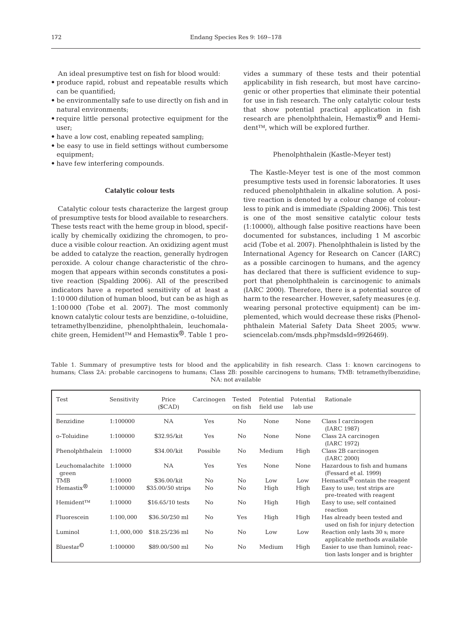An ideal presumptive test on fish for blood would:

- produce rapid, robust and repeatable results which can be quantified;
- be environmentally safe to use directly on fish and in natural environments;
- require little personal protective equipment for the user;
- have a low cost, enabling repeated sampling;
- be easy to use in field settings without cumbersome equipment;
- have few interfering compounds.

## **Catalytic colour tests**

Catalytic colour tests characterize the largest group of presumptive tests for blood available to researchers. These tests react with the heme group in blood, specifically by chemically oxidizing the chromogen, to produce a visible colour reaction. An oxidizing agent must be added to catalyze the reaction, generally hydrogen peroxide. A colour change characteristic of the chromogen that appears within seconds constitutes a positive reaction (Spalding 2006). All of the prescribed indicators have a reported sensitivity of at least a 1:10 000 dilution of human blood, but can be as high as 1:100 000 (Tobe et al. 2007). The most commonly known catalytic colour tests are benzidine, o-toluidine, tetramethylbenzidine, phenolphthalein, leuchomalachite green, Hemident™ and Hemastix®. Table 1 provides a summary of these tests and their potential applicability in fish research, but most have carcinogenic or other properties that eliminate their potential for use in fish research. The only catalytic colour tests that show potential practical application in fish research are phenolphthalein, Hemastix® and Hemident™, which will be explored further.

#### Phenolphthalein (Kastle-Meyer test)

The Kastle-Meyer test is one of the most common presumptive tests used in forensic laboratories. It uses reduced phenolphthalein in alkaline solution. A positive reaction is denoted by a colour change of colourless to pink and is immediate (Spalding 2006). This test is one of the most sensitive catalytic colour tests (1:10000), although false positive reactions have been documented for substances, including 1 M ascorbic acid (Tobe et al. 2007). Phenolphthalein is listed by the International Agency for Research on Cancer (IARC) as a possible carcinogen to humans, and the agency has declared that there is sufficient evidence to support that phenolphthalein is carcinogenic to animals (IARC 2000). Therefore, there is a potential source of harm to the researcher. However, safety measures (e.g. wearing personal protective equipment) can be implemented, which would decrease these risks (Phenolphthalein Material Safety Data Sheet 2005; www. sciencelab.com/msds.php?msdsId=9926469).

Table 1. Summary of presumptive tests for blood and the applicability in fish research. Class 1: known carcinogens to humans; Class 2A: probable carcinogens to humans; Class 2B: possible carcinogens to humans; TMB: tetramethylbenzidine; NA: not available

| Test                     | Sensitivity | Price<br>(SCAD)   | Carcinogen     | Tested<br>on fish | Potential<br>field use | Potential<br>lab use | Rationale                                                              |
|--------------------------|-------------|-------------------|----------------|-------------------|------------------------|----------------------|------------------------------------------------------------------------|
| Benzidine                | 1:100000    | <b>NA</b>         | Yes            | $\rm No$          | None                   | None                 | Class I carcinogen<br>(IARC 1987)                                      |
| o-Toluidine              | 1:100000    | \$32.95/kit       | Yes            | No                | None                   | None                 | Class 2A carcinogen<br>(IARC 1972)                                     |
| Phenolphthalein          | 1:10000     | \$34.00/kit       | Possible       | No                | Medium                 | High                 | Class 2B carcinogen<br>(IARC 2000)                                     |
| Leuchomalachite<br>qreen | 1:10000     | <b>NA</b>         | Yes            | Yes               | None                   | None                 | Hazardous to fish and humans<br>(Fessard et al. 1999)                  |
| <b>TMB</b>               | 1:10000     | \$36.00/kit       | $\overline{N}$ | N <sub>0</sub>    | Low                    | Low                  | Hemastix $\mathcal{D}$ contain the reagent                             |
| Hemastix $^{\circledR}$  | 1:100000    | \$35.00/50 strips | No             | No                | High                   | High                 | Easy to use; test strips are<br>pre-treated with reagent               |
| Hemident™                | 1:10000     | \$16.65/10 tests  | No             | No                | High                   | High                 | Easy to use; self contained<br>reaction                                |
| Fluorescein              | 1:100,000   | \$36.50/250 ml    | No             | Yes               | High                   | High                 | Has already been tested and<br>used on fish for injury detection       |
| Luminol                  | 1:1,000,000 | \$18.25/236 ml    | No             | No                | Low                    | Low                  | Reaction only lasts 30 s; more<br>applicable methods available         |
| $Bluestar^{\mathbb{O}}$  | 1:100000    | \$89,00/500 ml    | No             | No                | Medium                 | High                 | Easier to use than luminol; reac-<br>tion lasts longer and is brighter |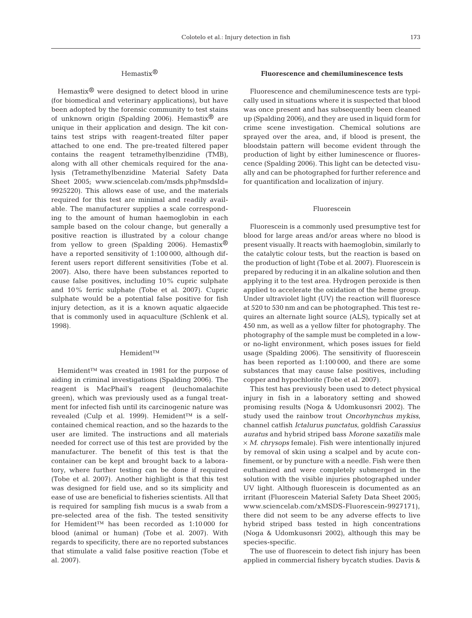## Hemastix®

Hemastix® were designed to detect blood in urine (for biomedical and veterinary applications), but have been adopted by the forensic community to test stains of unknown origin (Spalding 2006). Hemastix<sup>®</sup> are unique in their application and design. The kit contains test strips with reagent-treated filter paper attached to one end. The pre-treated filtered paper contains the reagent tetramethylbenzidine (TMB), along with all other chemicals required for the analysis (Tetramethylbenzidine Material Safety Data Sheet 2005; www.sciencelab.com/msds.php?msdsId= 9925220). This allows ease of use, and the materials required for this test are minimal and readily available. The manufacturer supplies a scale corresponding to the amount of human haemoglobin in each sample based on the colour change, but generally a positive reaction is illustrated by a colour change from yellow to green (Spalding 2006). Hemastix<sup>®</sup> have a reported sensitivity of 1:100 000, although different users report different sensitivities (Tobe et al. 2007). Also, there have been substances reported to cause false positives, including 10% cupric sulphate and 10% ferric sulphate (Tobe et al. 2007). Cupric sulphate would be a potential false positive for fish injury detection, as it is a known aquatic algaecide that is commonly used in aquaculture (Schlenk et al. 1998).

#### Hemident™

Hemident™ was created in 1981 for the purpose of aiding in criminal investigations (Spalding 2006). The reagent is MacPhail's reagent (leuchomalachite green), which was previously used as a fungal treatment for infected fish until its carcinogenic nature was revealed (Culp et al. 1999). Hemident™ is a selfcontained chemical reaction, and so the hazards to the user are limited. The instructions and all materials needed for correct use of this test are provided by the manufacturer. The benefit of this test is that the container can be kept and brought back to a laboratory, where further testing can be done if required (Tobe et al. 2007). Another highlight is that this test was designed for field use, and so its simplicity and ease of use are beneficial to fisheries scientists. All that is required for sampling fish mucus is a swab from a pre-selected area of the fish. The tested sensitivity for Hemident™ has been recorded as 1:10 000 for blood (animal or human) (Tobe et al. 2007). With regards to specificity, there are no reported substances that stimulate a valid false positive reaction (Tobe et al. 2007).

## **Fluorescence and chemiluminescence tests**

Fluorescence and chemiluminescence tests are typically used in situations where it is suspected that blood was once present and has subsequently been cleaned up (Spalding 2006), and they are used in liquid form for crime scene investigation. Chemical solutions are sprayed over the area, and, if blood is present, the bloodstain pattern will become evident through the production of light by either luminescence or fluorescence (Spalding 2006). This light can be detected visually and can be photographed for further reference and for quantification and localization of injury.

## Fluorescein

Fluorescein is a commonly used presumptive test for blood for large areas and/or areas where no blood is present visually. It reacts with haemoglobin, similarly to the catalytic colour tests, but the reaction is based on the production of light (Tobe et al. 2007). Fluorescein is prepared by reducing it in an alkaline solution and then applying it to the test area. Hydrogen peroxide is then applied to accelerate the oxidation of the heme group. Under ultraviolet light (UV) the reaction will fluoresce at 520 to 530 nm and can be photographed. This test requires an alternate light source (ALS), typically set at 450 nm, as well as a yellow filter for photography. The photography of the sample must be completed in a lowor no-light environment, which poses issues for field usage (Spalding 2006). The sensitivity of fluorescein has been reported as 1:100 000, and there are some substances that may cause false positives, including copper and hypochlorite (Tobe et al. 2007).

This test has previously been used to detect physical injury in fish in a laboratory setting and showed promising results (Noga & Udomkusonsri 2002). The study used the rainbow trout *Oncorhynchus mykiss*, channel catfish *Ictalurus punctatus*, goldfish *Carassius auratus* and hybrid striped bass *Morone saxatilis* male × *M. chrysops* female). Fish were intentionally injured by removal of skin using a scalpel and by acute confinement, or by puncture with a needle. Fish were then euthanized and were completely submerged in the solution with the visible injuries photographed under UV light. Although fluorescein is documented as an irritant (Fluorescein Material Safety Data Sheet 2005; www.sciencelab.com/xMSDS-Fluorescein-9927171), there did not seem to be any adverse effects to live hybrid striped bass tested in high concentrations (Noga & Udomkusonsri 2002), although this may be species-specific.

The use of fluorescein to detect fish injury has been applied in commercial fishery bycatch studies. Davis &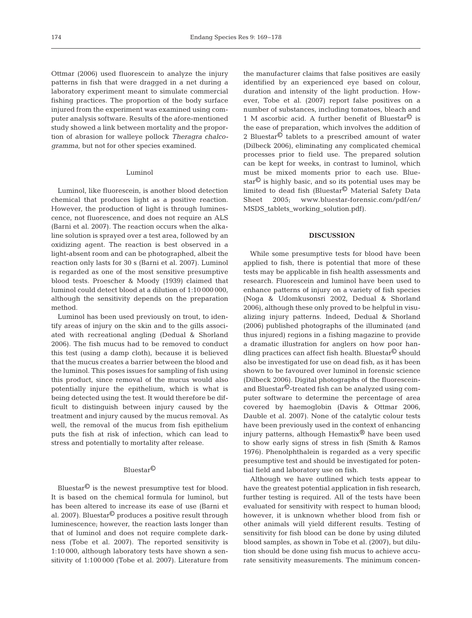Ottmar (2006) used fluorescein to analyze the injury patterns in fish that were dragged in a net during a laboratory experiment meant to simulate commercial fishing practices. The proportion of the body surface injured from the experiment was examined using computer analysis software. Results of the afore-mentioned study showed a link between mortality and the proportion of abrasion for walleye pollock *Theragra chalcogramma*, but not for other species examined.

## Luminol

Luminol, like fluorescein, is another blood detection chemical that produces light as a positive reaction. However, the production of light is through luminescence, not fluorescence, and does not require an ALS (Barni et al. 2007). The reaction occurs when the alkaline solution is sprayed over a test area, followed by an oxidizing agent. The reaction is best observed in a light-absent room and can be photographed, albeit the reaction only lasts for 30 s (Barni et al. 2007). Luminol is regarded as one of the most sensitive presumptive blood tests. Proescher & Moody (1939) claimed that luminol could detect blood at a dilution of 1:10 000 000, although the sensitivity depends on the preparation method.

Luminol has been used previously on trout, to identify areas of injury on the skin and to the gills associated with recreational angling (Dedual & Shorland 2006). The fish mucus had to be removed to conduct this test (using a damp cloth), because it is believed that the mucus creates a barrier between the blood and the luminol. This poses issues for sampling of fish using this product, since removal of the mucus would also potentially injure the epithelium, which is what is being detected using the test. It would therefore be difficult to distinguish between injury caused by the treatment and injury caused by the mucus removal. As well, the removal of the mucus from fish epithelium puts the fish at risk of infection, which can lead to stress and potentially to mortality after release.

## Bluestar©

Bluestar $\mathbb{O}$  is the newest presumptive test for blood. It is based on the chemical formula for luminol, but has been altered to increase its ease of use (Barni et al. 2007). Bluestar<sup>©</sup> produces a positive result through luminescence; however, the reaction lasts longer than that of luminol and does not require complete darkness (Tobe et al. 2007). The reported sensitivity is 1:10 000, although laboratory tests have shown a sensitivity of 1:100 000 (Tobe et al. 2007). Literature from

the manufacturer claims that false positives are easily identified by an experienced eye based on colour, duration and intensity of the light production. However, Tobe et al. (2007) report false positives on a number of substances, including tomatoes, bleach and 1 M ascorbic acid. A further benefit of Bluestar $\mathcal O$  is the ease of preparation, which involves the addition of 2 Bluestar© tablets to a prescribed amount of water (Dilbeck 2006), eliminating any complicated chemical processes prior to field use. The prepared solution can be kept for weeks, in contrast to luminol, which must be mixed moments prior to each use. Bluestar $\mathbb{O}$  is highly basic, and so its potential uses may be limited to dead fish (Bluestar© Material Safety Data Sheet 2005; www.bluestar-forensic.com/pdf/en/ MSDS\_tablets\_working\_solution.pdf).

## **DISCUSSION**

While some presumptive tests for blood have been applied to fish, there is potential that more of these tests may be applicable in fish health assessments and research. Fluorescein and luminol have been used to enhance patterns of injury on a variety of fish species (Noga & Udomkusonsri 2002, Dedual & Shorland 2006), although these only proved to be helpful in visualizing injury patterns. Indeed, Dedual & Shorland (2006) published photographs of the illuminated (and thus injured) regions in a fishing magazine to provide a dramatic illustration for anglers on how poor handling practices can affect fish health. Bluestar© should also be investigated for use on dead fish, as it has been shown to be favoured over luminol in forensic science (Dilbeck 2006). Digital photographs of the fluoresceinand Bluestar©-treated fish can be analyzed using computer software to determine the percentage of area covered by haemoglobin (Davis & Ottmar 2006, Dauble et al. 2007). None of the catalytic colour tests have been previously used in the context of enhancing injury patterns, although Hemastix® have been used to show early signs of stress in fish (Smith & Ramos 1976). Phenolphthalein is regarded as a very specific presumptive test and should be investigated for potential field and laboratory use on fish.

Although we have outlined which tests appear to have the greatest potential application in fish research, further testing is required. All of the tests have been evaluated for sensitivity with respect to human blood; however, it is unknown whether blood from fish or other animals will yield different results. Testing of sensitivity for fish blood can be done by using diluted blood samples, as shown in Tobe et al. (2007), but dilution should be done using fish mucus to achieve accurate sensitivity measurements. The minimum concen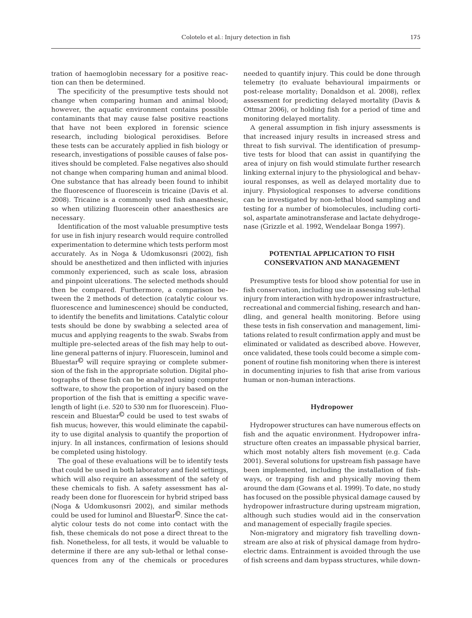tration of haemoglobin necessary for a positive reaction can then be determined.

The specificity of the presumptive tests should not change when comparing human and animal blood; however, the aquatic environment contains possible contaminants that may cause false positive reactions that have not been explored in forensic science research, including biological peroxidises. Before these tests can be accurately applied in fish biology or research, investigations of possible causes of false positives should be completed. False negatives also should not change when comparing human and animal blood. One substance that has already been found to inhibit the fluorescence of fluorescein is tricaine (Davis et al. 2008). Tricaine is a commonly used fish anaesthesic, so when utilizing fluorescein other anaesthesics are necessary.

Identification of the most valuable presumptive tests for use in fish injury research would require controlled experimentation to determine which tests perform most accurately. As in Noga & Udomkusonsri (2002), fish should be anesthetized and then inflicted with injuries commonly experienced, such as scale loss, abrasion and pinpoint ulcerations. The selected methods should then be compared. Furthermore, a comparison between the 2 methods of detection (catalytic colour vs. fluorescence and luminescence) should be conducted, to identify the benefits and limitations. Catalytic colour tests should be done by swabbing a selected area of mucus and applying reagents to the swab. Swabs from multiple pre-selected areas of the fish may help to outline general patterns of injury. Fluorescein, luminol and Bluestar© will require spraying or complete submersion of the fish in the appropriate solution. Digital photographs of these fish can be analyzed using computer software, to show the proportion of injury based on the proportion of the fish that is emitting a specific wavelength of light (i.e. 520 to 530 nm for fluorescein). Fluorescein and Bluestar© could be used to test swabs of fish mucus; however, this would eliminate the capability to use digital analysis to quantify the proportion of injury. In all instances, confirmation of lesions should be completed using histology.

The goal of these evaluations will be to identify tests that could be used in both laboratory and field settings, which will also require an assessment of the safety of these chemicals to fish. A safety assessment has already been done for fluorescein for hybrid striped bass (Noga & Udomkusonsri 2002), and similar methods could be used for luminol and Bluestar©. Since the catalytic colour tests do not come into contact with the fish, these chemicals do not pose a direct threat to the fish. Nonetheless, for all tests, it would be valuable to determine if there are any sub-lethal or lethal consequences from any of the chemicals or procedures needed to quantify injury. This could be done through telemetry (to evaluate behavioural impairments or post-release mortality; Donaldson et al. 2008), reflex assessment for predicting delayed mortality (Davis & Ottmar 2006), or holding fish for a period of time and monitoring delayed mortality.

A general assumption in fish injury assessments is that increased injury results in increased stress and threat to fish survival. The identification of presumptive tests for blood that can assist in quantifying the area of injury on fish would stimulate further research linking external injury to the physiological and behavioural responses, as well as delayed mortality due to injury. Physiological responses to adverse conditions can be investigated by non-lethal blood sampling and testing for a number of biomolecules, including cortisol, aspartate aminotransferase and lactate dehydrogenase (Grizzle et al. 1992, Wendelaar Bonga 1997).

## **POTENTIAL APPLICATION TO FISH CONSERVATION AND MANAGEMENT**

Presumptive tests for blood show potential for use in fish conservation, including use in assessing sub-lethal injury from interaction with hydropower infrastructure, recreational and commercial fishing, research and handling, and general health monitoring. Before using these tests in fish conservation and management, limitations related to result confirmation apply and must be eliminated or validated as described above. However, once validated, these tools could become a simple component of routine fish monitoring when there is interest in documenting injuries to fish that arise from various human or non-human interactions.

#### **Hydropower**

Hydropower structures can have numerous effects on fish and the aquatic environment. Hydropower infrastructure often creates an impassable physical barrier, which most notably alters fish movement (e.g. Cada 2001). Several solutions for upstream fish passage have been implemented, including the installation of fishways, or trapping fish and physically moving them around the dam (Gowans et al. 1999). To date, no study has focused on the possible physical damage caused by hydropower infrastructure during upstream migration, although such studies would aid in the conservation and management of especially fragile species.

Non-migratory and migratory fish travelling downstream are also at risk of physical damage from hydroelectric dams. Entrainment is avoided through the use of fish screens and dam bypass structures, while down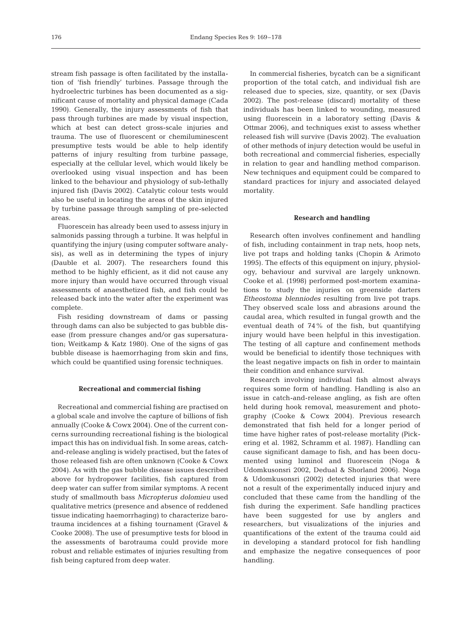stream fish passage is often facilitated by the installation of 'fish friendly' turbines. Passage through the hydroelectric turbines has been documented as a significant cause of mortality and physical damage (Cada 1990). Generally, the injury assessments of fish that pass through turbines are made by visual inspection, which at best can detect gross-scale injuries and trauma. The use of fluorescent or chemiluminescent presumptive tests would be able to help identify patterns of injury resulting from turbine passage, especially at the cellular level, which would likely be overlooked using visual inspection and has been linked to the behaviour and physiology of sub-lethally injured fish (Davis 2002). Catalytic colour tests would also be useful in locating the areas of the skin injured by turbine passage through sampling of pre-selected areas.

Fluorescein has already been used to assess injury in salmonids passing through a turbine. It was helpful in quantifying the injury (using computer software analysis), as well as in determining the types of injury (Dauble et al. 2007). The researchers found this method to be highly efficient, as it did not cause any more injury than would have occurred through visual assessments of anaesthetized fish, and fish could be released back into the water after the experiment was complete.

Fish residing downstream of dams or passing through dams can also be subjected to gas bubble disease (from pressure changes and/or gas supersaturation; Weitkamp & Katz 1980). One of the signs of gas bubble disease is haemorrhaging from skin and fins, which could be quantified using forensic techniques.

#### **Recreational and commercial fishing**

Recreational and commercial fishing are practised on a global scale and involve the capture of billions of fish annually (Cooke & Cowx 2004). One of the current concerns surrounding recreational fishing is the biological impact this has on individual fish. In some areas, catchand-release angling is widely practised, but the fates of those released fish are often unknown (Cooke & Cowx 2004). As with the gas bubble disease issues described above for hydropower facilities, fish captured from deep water can suffer from similar symptoms. A recent study of smallmouth bass *Micropterus dolomieu* used qualitative metrics (presence and absence of reddened tissue indicating haemorrhaging) to characterize barotrauma incidences at a fishing tournament (Gravel & Cooke 2008). The use of presumptive tests for blood in the assessments of barotrauma could provide more robust and reliable estimates of injuries resulting from fish being captured from deep water.

In commercial fisheries, bycatch can be a significant proportion of the total catch, and individual fish are released due to species, size, quantity, or sex (Davis 2002). The post-release (discard) mortality of these individuals has been linked to wounding, measured using fluorescein in a laboratory setting (Davis & Ottmar 2006), and techniques exist to assess whether released fish will survive (Davis 2002). The evaluation of other methods of injury detection would be useful in both recreational and commercial fisheries, especially in relation to gear and handling method comparison. New techniques and equipment could be compared to standard practices for injury and associated delayed mortality.

#### **Research and handling**

Research often involves confinement and handling of fish, including containment in trap nets, hoop nets, live pot traps and holding tanks (Chopin & Arimoto 1995). The effects of this equipment on injury, physiology, behaviour and survival are largely unknown. Cooke et al. (1998) performed post-mortem examinations to study the injuries on greenside darters *Etheostoma blenniodes* resulting from live pot traps. They observed scale loss and abrasions around the caudal area, which resulted in fungal growth and the eventual death of 74% of the fish, but quantifying injury would have been helpful in this investigation. The testing of all capture and confinement methods would be beneficial to identify those techniques with the least negative impacts on fish in order to maintain their condition and enhance survival.

Research involving individual fish almost always requires some form of handling. Handling is also an issue in catch-and-release angling, as fish are often held during hook removal, measurement and photography (Cooke & Cowx 2004). Previous research demonstrated that fish held for a longer period of time have higher rates of post-release mortality (Pickering et al. 1982, Schramm et al. 1987). Handling can cause significant damage to fish, and has been documented using luminol and fluorescein (Noga & Udomkusonsri 2002, Dedual & Shorland 2006). Noga & Udomkusonsri (2002) detected injuries that were not a result of the experimentally induced injury and concluded that these came from the handling of the fish during the experiment. Safe handling practices have been suggested for use by anglers and researchers, but visualizations of the injuries and quantifications of the extent of the trauma could aid in developing a standard protocol for fish handling and emphasize the negative consequences of poor handling.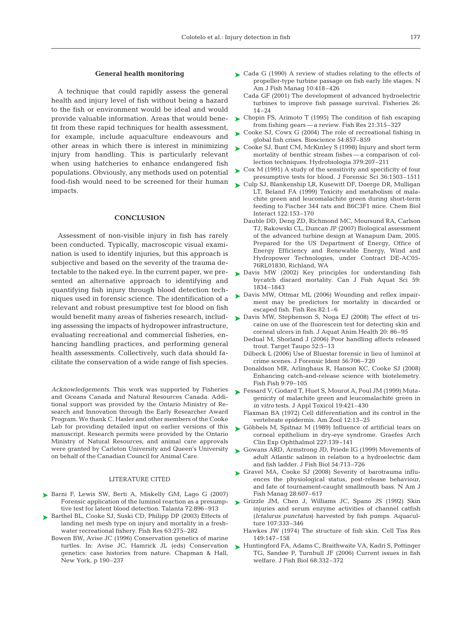## **General health monitoring**

A technique that could rapidly assess the general health and injury level of fish without being a hazard to the fish or environment would be ideal and would provide valuable information. Areas that would benefit from these rapid techniques for health assessment, for example, include aquaculture endeavours and other areas in which there is interest in minimizing injury from handling. This is particularly relevant when using hatcheries to enhance endangered fish populations. Obviously, any methods used on potential food-fish would need to be screened for their human impacts.

## **CONCLUSION**

Assessment of non-visible injury in fish has rarely been conducted. Typically, macroscopic visual examination is used to identify injuries, but this approach is subjective and based on the severity of the trauma detectable to the naked eye. In the current paper, we presented an alternative approach to identifying and quantifying fish injury through blood detection techniques used in forensic science. The identification of a relevant and robust presumptive test for blood on fish ing assessing the impacts of hydropower infrastructure, evaluating recreational and commercial fisheries, enhancing handling practices, and performing general health assessments. Collectively, such data should facilitate the conservation of a wide range of fish species.

*Acknowledgements*. This work was supported by Fisheries and Oceans Canada and Natural Resources Canada. Additional support was provided by the Ontario Ministry of Research and Innovation through the Early Researcher Award Program. We thank C. Hasler and other members of the Cooke Lab for providing detailed input on earlier versions of this manuscript. Research permits were provided by the Ontario Ministry of Natural Resources, and animal care approvals were granted by Carleton University and Queen's University on behalf of the Canadian Council for Animal Care.

## LITERATURE CITED

- ▶ Barni F, Lewis SW, Berti A, Miskelly GM, Lago G (2007) tive test for latent blood detection. Talanta 72:896–913
- ▶ Barthel BL, Cooke SJ, Suski CD, Philipp DP (2003) Effects of landing net mesh type on injury and mortality in a freshwater recreational fishery. Fish Res 63:275–282
	- Bowen BW, Avise JC (1996) Conservation genetics of marine turtles. In: Avise JC, Hamrick JL (eds) Conservation genetics: case histories from nature. Chapman & Hall, New York, p 190–237
- ► Cada G (1990) A review of studies relating to the effects of propeller-type turbine passage on fish early life stages. N Am J Fish Manag 10:418–426
	- Cada GF (2001) The development of advanced hydroelectric turbines to improve fish passage survival. Fisheries 26: 14–24
- ► Chopin FS, Arimoto T (1995) The condition of fish escaping from fishing gears — a review. Fish Res 21:315–327
- ► Cooke SJ, Cowx G (2004) The role of recreational fishing in global fish crises. Bioscience 54:857–859
- ► Cooke SJ, Bunt CM, McKinley S (1998) Injury and short term mortality of benthic stream fishes — a comparison of collection techniques. Hydrobiologia 379:207–211
- ► Cox M (1991) A study of the sensitivity and specificity of four presumptive tests for blood. J Forensic Sci 36:1503–1511
- ► Culp SJ, Blankenship LR, Kusewitt DF, Doerge DR, Mulligan LT, Beland FA (1999) Toxicity and metabolism of malachite green and leucomalachite green during short-term feeding to Fischer 344 rats and B6C3F1 mice. Chem Biol Interact 122:153–170
	- Dauble DD, Deng ZD, Richmond MC, Moursund RA, Carlson TJ, Rakowski CL, Duncan JP (2007) Biological assessment of the advanced turbine design at Wanapum Dam, 2005. Prepared for the US Department of Energy, Office of Energy Efficiency and Renewable Energy, Wind and Hydropower Technologies, under Contract DE-AC05- 76RL01830, Richland, WA
- ▶ Davis MW (2002) Key principles for understanding fish bycatch discard mortality. Can J Fish Aquat Sci 59: 1834–1843
- ► Davis MW, Ottmar ML (2006) Wounding and reflex impairment may be predictors for mortality in discarded or escaped fish. Fish Res 82:1–6
- would benefit many areas of fisheries research, includ-  $\triangleright$  Davis MW, Stephenson S, Noga EJ (2008) The effect of tricaine on use of the fluorescein test for detecting skin and corneal ulcers in fish. J Aquat Anim Health 20: 86–95
	- Dedual M, Shorland J (2006) Poor handling affects released trout. Target Taupo 52:5–13
	- Dilbeck L (2006) Use of Bluestar forensic in lieu of luminol at crime scenes. J Forensic Ident 56:706–720
	- Donaldson MR, Arlinghaus R, Hanson KC, Cooke SJ (2008) Enhancing catch-and-release science with biotelemetry. Fish Fish 9:79–105
	- ► Fessard V, Godard T, Huet S, Mourot A, Poul JM (1999) Mutagenicity of malachite green and leucomalachite green in *in vitro* tests. J Appl Toxicol 19:421–430
		- Flaxman BA (1972) Cell differentiation and its control in the vertebrate epidermis. Am Zool 12:13–25
	- ▶ Göbbels M, Spitnaz M (1989) Influence of artificial tears on corneal epithelium in dry-eye syndrome. Graefes Arch Clin Exp Ophthalmol 227:139–141
	- ► Gowans ARD, Armstrong JD, Priede IG (1999) Movements of adult Atlantic salmon in relation to a hydroelectric dam and fish ladder. J Fish Biol 54:713–726
	- ▶ Gravel MA, Cooke SJ (2008) Severity of barotrauma influences the physiological status, post-release behaviour, and fate of tournament-caught smallmouth bass. N Am J Fish Manag 28:607–617
	- Forensic application of the luminol reaction as a presump-Grizzle JM, Chen J, Williams JC, Spano JS (1992) Skin ➤ injuries and serum enzyme activities of channel catfish (*Ictalurus punctatus*) harvested by fish pumps. Aquaculture 107:333–346
		- Hawkes JW (1974) The structure of fish skin. Cell Tiss Res 149:147–158
		- ► Huntingford FA, Adams C, Braithwaite VA, Kadri S, Pottinger TG, Sandøe P, Turnbull JF (2006) Current issues in fish welfare. J Fish Biol 68:332–372